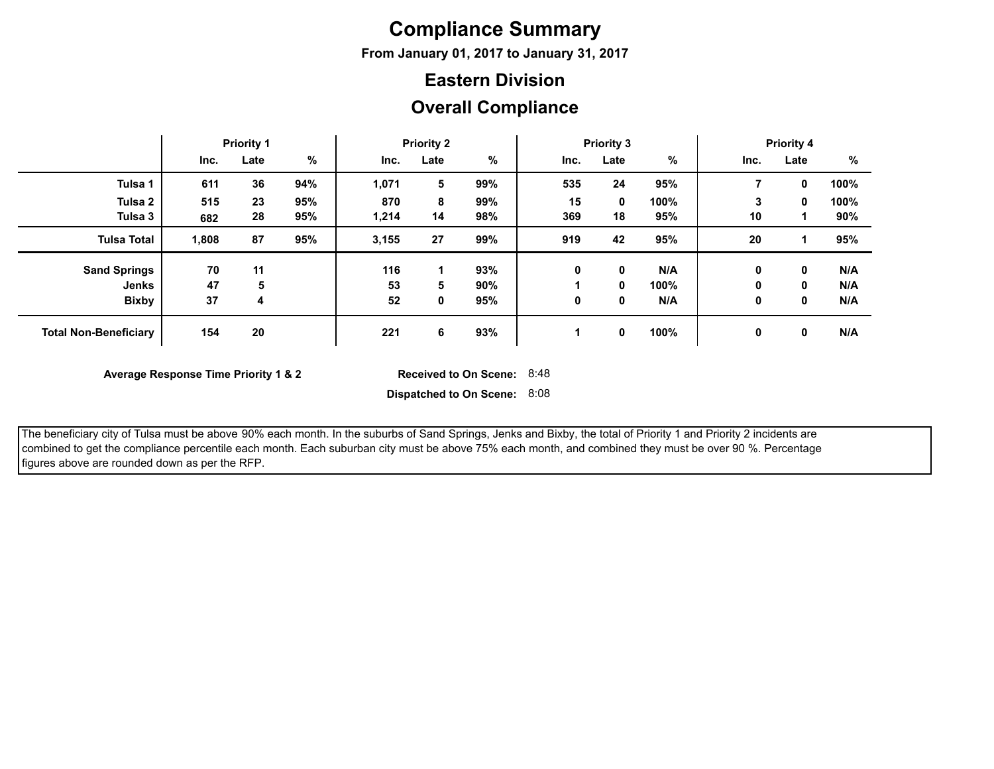## **Compliance Summary**

**From January 01, 2017 to January 31, 2017**

#### **Eastern Division**

#### **Overall Compliance**

|                              | <b>Priority 1</b> |      |      | <b>Priority 2</b> |      |     | <b>Priority 3</b> |             |      | <b>Priority 4</b> |      |      |
|------------------------------|-------------------|------|------|-------------------|------|-----|-------------------|-------------|------|-------------------|------|------|
|                              | Inc.              | Late | $\%$ | Inc.              | Late | %   | Inc.              | Late        | %    | Inc.              | Late | %    |
| Tulsa 1                      | 611               | 36   | 94%  | 1,071             | 5    | 99% | 535               | 24          | 95%  |                   | 0    | 100% |
| Tulsa <sub>2</sub>           | 515               | 23   | 95%  | 870               | 8    | 99% | 15                | $\mathbf 0$ | 100% | 3                 | 0    | 100% |
| Tulsa 3                      | 682               | 28   | 95%  | 1,214             | 14   | 98% | 369               | 18          | 95%  | 10                |      | 90%  |
| <b>Tulsa Total</b>           | 1,808             | 87   | 95%  | 3,155             | 27   | 99% | 919               | 42          | 95%  | 20                |      | 95%  |
| <b>Sand Springs</b>          | 70                | 11   |      | 116               |      | 93% | 0                 | 0           | N/A  | 0                 | 0    | N/A  |
| Jenks                        | 47                | 5    |      | 53                | 5    | 90% |                   | 0           | 100% | 0                 | 0    | N/A  |
| <b>Bixby</b>                 | 37                | 4    |      | 52                | 0    | 95% | 0                 | 0           | N/A  | 0                 | 0    | N/A  |
| <b>Total Non-Beneficiary</b> | 154               | 20   |      | 221               | 6    | 93% |                   | $\mathbf 0$ | 100% | 0                 | 0    | N/A  |

**Average Response Time Priority 1 & 2** 

Received to On Scene: 8:48

**Dispatched to On Scene:** 8:08

 The beneficiary city of Tulsa must be above 90% each month. In the suburbs of Sand Springs, Jenks and Bixby, the total of Priority 1 and Priority 2 incidents are combined to get the compliance percentile each month. Each suburban city must be above 75% each month, and combined they must be over 90 %. Percentage figures above are rounded down as per the RFP.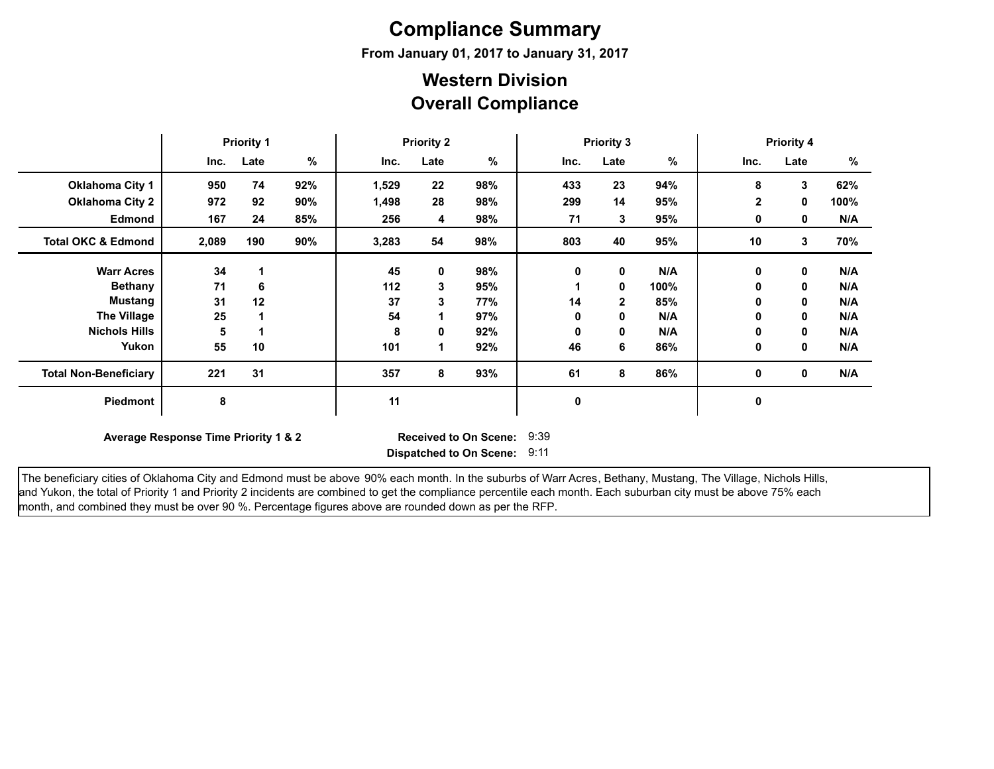# **Compliance Summary**

**From January 01, 2017 to January 31, 2017**

#### **Overall Compliance Western Division**

|                               | <b>Priority 1</b>                                                                                            |      |     | <b>Priority 2</b> |      |     | <b>Priority 3</b> |              |      | <b>Priority 4</b> |      |      |
|-------------------------------|--------------------------------------------------------------------------------------------------------------|------|-----|-------------------|------|-----|-------------------|--------------|------|-------------------|------|------|
|                               | Inc.                                                                                                         | Late | %   | Inc.              | Late | %   | Inc.              | Late         | %    | Inc.              | Late | %    |
| <b>Oklahoma City 1</b>        | 950                                                                                                          | 74   | 92% | 1,529             | 22   | 98% | 433               | 23           | 94%  | 8                 | 3    | 62%  |
| <b>Oklahoma City 2</b>        | 972                                                                                                          | 92   | 90% | 1,498             | 28   | 98% | 299               | 14           | 95%  | $\mathbf{2}$      | 0    | 100% |
| <b>Edmond</b>                 | 167                                                                                                          | 24   | 85% | 256               | 4    | 98% | 71                | 3            | 95%  | 0                 | 0    | N/A  |
| <b>Total OKC &amp; Edmond</b> | 2,089                                                                                                        | 190  | 90% | 3,283             | 54   | 98% | 803               | 40           | 95%  | 10                | 3    | 70%  |
| <b>Warr Acres</b>             | 34                                                                                                           |      |     | 45                | 0    | 98% | 0                 | $\mathbf 0$  | N/A  | 0                 | 0    | N/A  |
| <b>Bethany</b>                | 71                                                                                                           | 6    |     | $112$             | 3    | 95% |                   | $\mathbf 0$  | 100% | 0                 | 0    | N/A  |
| <b>Mustang</b>                | 31                                                                                                           | 12   |     | 37                | 3    | 77% | 14                | $\mathbf{2}$ | 85%  | 0                 | 0    | N/A  |
| <b>The Village</b>            | 25                                                                                                           |      |     | 54                |      | 97% | 0                 | 0            | N/A  | 0                 | 0    | N/A  |
| <b>Nichols Hills</b>          | 5                                                                                                            |      |     | 8                 | 0    | 92% | 0                 | $\mathbf 0$  | N/A  | 0                 | 0    | N/A  |
| Yukon                         | 55                                                                                                           | 10   |     | 101               |      | 92% | 46                | 6            | 86%  | 0                 | 0    | N/A  |
| <b>Total Non-Beneficiary</b>  | 221                                                                                                          | 31   |     | 357               | 8    | 93% | 61                | 8            | 86%  | 0                 | 0    | N/A  |
| Piedmont                      | 8                                                                                                            |      |     | 11                |      |     | 0                 |              |      | 0                 |      |      |
|                               | 9:39<br>Average Response Time Priority 1 & 2<br><b>Received to On Scene:</b><br>Dispatched to On Scene: 9:11 |      |     |                   |      |     |                   |              |      |                   |      |      |

The beneficiary cities of Oklahoma City and Edmond must be above 90% each month. In the suburbs of Warr Acres, Bethany, Mustang, The Village, Nichols Hills, and Yukon, the total of Priority 1 and Priority 2 incidents are combined to get the compliance percentile each month. Each suburban city must be above 75% each month, and combined they must be over 90 %. Percentage figures above are rounded down as per the RFP.